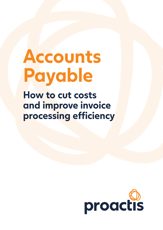# **Accounts Payable**

**How to cut costs and improve invoice processing efficiency**

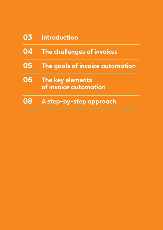| 03 | <b>Introduction</b>                       |
|----|-------------------------------------------|
| 04 | The challenges of invoices                |
| 05 | The goals of invoice automation           |
| 06 | The key elements<br>of invoice automation |
| 08 | A step-by-step approach                   |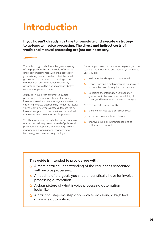# **Introduction**

**If you haven't already, it's time to formulate and execute a strategy to automate invoice processing. The direct and indirect costs of traditional manual processing are just not necessary.**

The technology to eliminate the great majority of the paper handling is available, affordable, and easily implemented within the context of your existing financial systems. And the benefits go beyond cost reduction to creating a cost management and information availability advantage that will help your company better compete for years to come.

Just keep in mind that automated invoice processing is about more than just scanning invoices into a document management system or capturing invoices electronically. To get the results you're really after, you want to automate the full invoice life-cycle from the time they are received to the time they are authorized for payment.

Yes, like most important initiatives, effective invoice automation will require some level of policy and procedure development, and may require some manageable organizational changes before technology can be effectively deployed.

But once you have the foundation in place you can steadily automate more and more of your invoices until you are:

- No longer handling much paper at all.  $\bigcirc$
- **C** Properly paying a high percentage of invoices without the need for any human intervention.
- **Collecting the information you need for** greater control of cash, clearer visibility of spend, and better management of budgets.

At a minimum, the results will be:

- Significantly reduced transaction costs.  $\bigcirc$
- **O** Increased payment terms discounts.
- **C** Improved supplier interaction leading to better future contracts.

### **This guide is intended to provide you with:**

- A more detailed understanding of the challenges associated with invoice processing.
- **An outline of the goals you should realistically have for invoice** processing automation.
- **A** clear picture of what invoice processing automation looks like.
- A practical step-by-step approach to achieving a high level of invoice automation.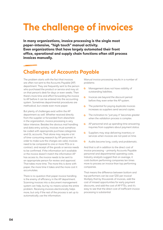# **The challenge of invoices**

**In many organizations, invoice processing is the single most paper-intensive, "high touch" manual activity. Even organizations that have largely automated their front office, operational and supply chain functions often still process invoices manually.**

### **Challenges of Accounts Payable**

The problem starts with the fact that invoices are often not sent to the Accounts Payable (AP) department. They are frequently sent to the person who purchased the product or service and may sit on that person's desk for days or even weeks. Then there's more time and effort forwarding the invoice to AP before it can be entered into the accounting system. Sometimes departmental procedures are methodical, but create even more paper.

But plenty of challenges exist within the AP department as well. Whether received directly from the supplier or forwarded from elsewhere in the organization, invoice processing is very labor intensive. Besides the obvious mail handling and data entry activity, invoices must somehow be coded with appropriate purchase categories and GL accounts. That alone may require a lot of time-consuming research by AP personnel. In order to make sure the charges are valid, invoices need to be compared to one or more POs or a contract, and receipt of the goods or service needs to be confirmed. If the information isn't available or the invoice doesn't match the information AP has access to, the invoice needs to be sent to an appropriate person for review and approval. That takes more time. The more this is done with paper, the more time it takes and the more cost it accumulates.

There is no question that paper invoice handling is the enemy of efficiency in the AP department. Scanning invoices into a document management system can help, but by no means solves the entire problem. Receiving invoices electronically helps more, but only if the rest of the process is set up to automatically use the information.

Manual invoice processing results in a number of problems:

- Management does not have visibility of  $\circledcirc$ outstanding liabilities.
- $\circ$ Invoices are beyond the discount period before they even enter the AP system.
- **O** The potential for paying duplicate invoices increases as suppliers send second copies.
- The inclination to "just pay it" becomes greater  $\hat{\mathbb{C}}$ when the validation process is complex.
- **AP** personnel end up spending time answering inquiries from suppliers about payment status.
- $\odot$ Suppliers may stop delivering inventory or services when invoices are not paid on time.
- $\odot$ Audits become long, costly and problematic.

And that is all in addition to the direct cost of invoice processing – primarily Accounts Payable personnel and departmental operating costs. Industry analysts suggest that on average, it costs bottom performing companies ten times more to process an invoice than top performing companies.

That means the difference between bottom and top performers can be over \$30 per invoice! Multiply that by thousands of invoices, add the cost of missed opportunities for early payment discounts, and add the cost of AP FTEs, and it's easy to see that the direct cost of inefficient invoice processing is substantial.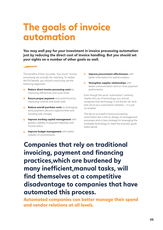### **The goals of invoice automation**

**You may well pay for your investment in invoice processing automation just by reducing the direct cost of invoice handling. But you should set your sights on a number of other goals as well.**

The benefits of fast, accurate, "low touch" invoice processing are actually far-reaching. To realize the full benefit, you should consciously set the following objectives:

- **Reduce direct invoice processing costs** by  $\mathbb{Q}$ improving efficiencies and cycle times.
- **Ensure proper payment** and avoid fraud by improving controls and audit trails.
- **<sup>6</sup>** Reduce overall purchase costs by leveraging early payment discount opportunities and avoiding late charges.
- **O** Improve working capital management with greater visibility of payment liabilities and invoice status.
- **6** Improve budget management with better visibility of commitments.
- **O** Improve procurement effectiveness with better information for spend analysis.
- **Strengthen supplier relationships** with better communication and on-time payment performance.

Even though the word "automation" certainly implies the use of technology, you should recognize that technology is not the be-all-andend-all of your automation initiative – it is just an enabler.

The key to successful invoice processing automation lies in the re-design of management processes and a clear strategy for leveraging the available technology to meet the business goals listed above.

**Companies that rely on traditional invoicing, payment and financing practices,which are burdened by many inefficient,manual tasks, will find themselves at a competitive disadvantage to companies that have automated this process.**

**Automated companies can better manage their spend and vendor relations at all levels.**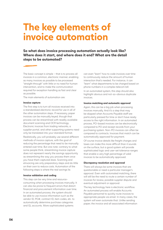### **The key elements of invoice automation**

**So what does invoice processing automation actually look like? Where does it start, and where does it end? What are the detail steps to be automated?** 

The basic concept is simple – that is to process all invoices in a common, electronic manner, enabling as many invoices as possible to be processed "straight through" with little or no need for human intervention, and to make the communication required for exception handling as fast and clear as possible.

The main elements of automation are:

#### **Invoice capture**

The first step is to turn all invoices received into a standardized electronic record for use in all of the other automation steps. If necessary, paper invoices can be manually keyed, though that process can be streamlined with readily available document scanning and OCR technology. Electronic invoices from trading networks, a supplier portal, and other supporting systems need only be translated into your standard format.

Realistically, you will probably use several different methods of invoice capture, with the goal of reducing the percentage that need to be manually entered over time. But one note: contrary to what some people think, streamlining invoice capture does not represent nearly the savings opportunity as streamlining the way you process them once you have them captured does. Scanning and eInvoicing are only preparatory steps and do little on their own to reduce costs. Automation of the following steps is where the real savings lie.

#### **Invoice validation and coding**

This step can be very time and resourceconsuming when processing invoices manually. It can also be prone to frequent errors that distort financial and procurement information over time. In an automated process, the system should be able to use invoice information such as the vendor ID, PO#, contract ID, item codes, etc. to automatically determine purchase categories and GL accounts. More sophisticated systems

can even "learn" how to code invoices over time to continuously reduce the amount of human interaction that's needed. For instance, it can "learn" what departments to be charged based on phone numbers in a complex telecom bill.

In an automated system, this step should also highlight obvious and not-so-obvious duplicate invoices.

#### **Invoice matching and automatic approval**

Again, this can be a big job when processing invoices manually. And it's a step that may be skipped when Accounts Payable staff are particularly pressed for time or don't have ready access to the right information. In an automated process, PO-based invoices can be electronically compared to PO and receipt records from your purchasing system. Non-PO invoices can often be compared to contracts. Invoices that match can be automatically approved for payment.

Of course invoice details like freight charges and taxes can make this more difficult than it sounds on the surface, but a good system will provide sophisticated logic and user-set tolerance ranges that enable a very high percentage of valid invoices to be automatically approved.

#### **Discrepancy resolution and approval**

There will always be some invoices that are questionable or need a particular manager's approval. Even with automated matching, there will still be the need to route a certain number of invoices for review, possible supplier dispute and eventual adjustment or approval.

The key technology here is electronic workflow. An automated process will enable Accounts Payable personnel to quickly route invoices to appropriate people via email. In many cases, the system will even automate that. Unlike sending paper, the invoice and all associated information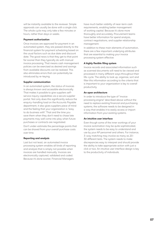will be instantly available to the reviewer. Simple approvals can usually be done with a single click. The whole cycle may only take a few minutes or hours, rather than days or weeks.

#### **Payment authorization**

Once invoices are approved for payment in an automated system, they are passed directly to the financial system for payment scheduling based on the usual factors such as due date and discount date. The good news is that they get to that point far sooner than they typically do with manual invoice processing. That means cash management policies can be exercised as desired and savings from available discounts can be realized. This also eliminates errors that can potentially be introduced by re-keying.

#### **Supplier communication**

In an automated system, the status of invoices is always known and accessible electronically. That makes it possible to give suppliers selfservice inquiry capabilities via a secure supplier portal. Not only does this significantly reduce the enquiry-handling load on the Accounts Payable department, it also gives suppliers piece of mind and the feeling that your organization is "easy to do business with". That and the time you save them when they don't need to chase late payments may well come into play when future purchases or contracts are negotiated.

Don't under-estimate the percentage points that can be shaved from your overall purchase costs over time.

#### **Reporting and analysis**

Last but not least, an automated invoice processing system enables all kinds of reporting and analysis that is simply not possible when invoices are handled manually. Invoices are electronically captured, validated and coded. Because it's done sooner, Financial Managers

have much better visibility of near-term cash requirements, enabling better management of working capital. Because it's done more thoroughly and accurately, Procurement teams have better information for spend analysis, contract negotiations, and supplier relationship management.

In addition to these main elements of automation, there are a few important underlying attributes that are essential to making your invoice processing system effective:

#### **A highly flexible filing system**

Invoice records and associated information such as scanned documents will need to be viewed and processed in many different ways throughout their life-cycle. The ability to look up, organize, sort and filter this information according to the criteria that is important to your organization is key to overall productivity.

#### **An open architecture**

In order to introduce the type of "invoice processing engine" described above without the need to replace existing financial and purchasing systems, the software needs to be designed in a way that enables it to easily access or import information from your existing systems.

#### **An intuitive user interface**

Even though some of the inner workings of your invoice automation may be quite sophisticated, the system needs to be easy to understand and use by your AP personnel and others. For instance, 3-way matching may involve as many as 20- 30 different tests. The system needs to make discrepancies easy to interpret and should provide the ability to take appropriate action with just a click or two. An intuitive user interface design is key to the productivity of individuals.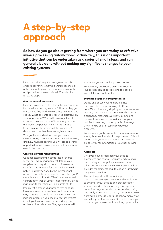## **A step-by-step approach**

**So how do you go about getting from where you are today to effective invoice processing automation? Fortunately, this is one important initiative that can be undertaken as a series of small steps, and can generally be done without making any significant changes to your existing systems.** 

lnitial steps don't require new systems at all in order to deliver incremental benefits. Technology only comes into play once a foundation of policies and procedures are established. Consider the following steps:

#### **Analyze current processes**

Find out how invoices flow through your company today. Where are they received? How do they get to Accounts Payable? How are they validated and coded? What percentage is received electronically vs. in paper form? What is the average time it takes to process an invoice? How many invoices are processed per year per AP FTE? What is the AP cost per transaction (total invoices / AP department cost is at least a rough measure).

Your goal is to understand how you process invoices today, where bottlenecks and delays exist, and how much it's costing. You will probably find opportunities to improve your current procedures, even in the short term.

#### **Centralize invoice management**

Consider establishing a centralized or shared service for invoice management. Inform your suppliers that they should send all invoices to your Accounts Payable function and enforce the policy. (In a survey done by the International Accounts Payable Professionals association (IAPP), more than two thirds (64.7%) of members stated centralization was of utmost importance by giving it an importance rating of 5 on a scale of 1 to 5). Implement a standard approach that captures invoices into some type of electronic form. You may start with a simple document scanning and indexing process. If you need to capture invoices in multiple locations, use a standard approach and centralized electronic filing system that will

streamline your manual approval process.

Your primary goal at this point is to capture invoices as soon as possible and to position yourself for later automation.

#### **Standardize policies and procedures**

Define and document standard policies and procedures for processing of PO and non-PO invoices – e.g. duplicity and mathematical integrity checks, matching criteria and tolerances, discrepancy resolution workflow, dispute and approval workflow, etc. Also document your policies for working capital optimization – e.g. when to take and not take early payment discounts.

Your primary goal is to clarify to your organization exactly how invoices should be processed. This will better guide your current manual processes and prepare you for automation of your policies and procedures.

#### **Automate**

Once you have established your policies, procedures and controls, you are ready to begin automating. At that point you are ready to select and implement a technology solution that provides the elements of automation described in the previous section.

The most important thing to first put in place is a single "processing engine" that will enable you to automate your policies and procedures for validation and coding, matching, discrepancy resolution, payment authorization, and reporting and analysis. You want a single, consistent invoice automation process regardless of how many ways you initially capture invoices. On the front end, you can leverage any electronic invoicing opportunities